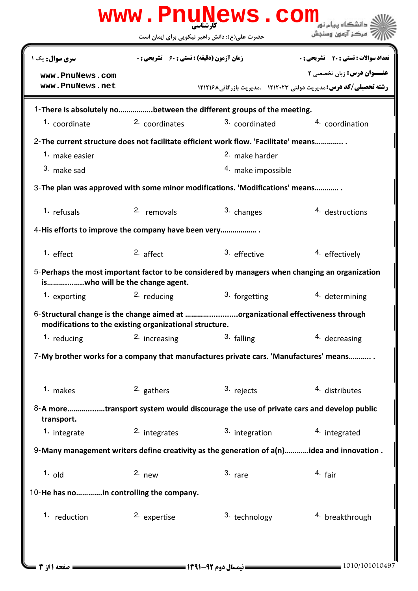| www.PnuNews.com                                                                           |                                                    |                                                                                                |                                              |  |  |
|-------------------------------------------------------------------------------------------|----------------------------------------------------|------------------------------------------------------------------------------------------------|----------------------------------------------|--|--|
|                                                                                           |                                                    | حضرت علی(ع): دانش راهبر نیکویی برای ایمان است                                                  | مركز آزمون وسنجش                             |  |  |
| <b>سری سوال :</b> یک ۱                                                                    | <b>زمان آزمون (دقیقه) : تستی : 60 ٪ تشریحی : 0</b> |                                                                                                | <b>تعداد سوالات : تستی : 20 ٪ تشریحی : 0</b> |  |  |
| www.PnuNews.com<br>www.PnuNews.net                                                        |                                                    | <b>رشته تحصیلی/کد درس: مدیریت دولتی 121243 - مدیریت بازرگانی۸ 12121۶ ا</b>                     | <b>عنــوان درس:</b> زبان تخصصی ۲             |  |  |
|                                                                                           |                                                    | 1-There is absolutely nobetween the different groups of the meeting.                           |                                              |  |  |
| 1. coordinate                                                                             | 2. coordinates                                     | 3. coordinated                                                                                 | 4. coordination                              |  |  |
|                                                                                           |                                                    | 2-The current structure does not facilitate efficient work flow. 'Facilitate' means            |                                              |  |  |
| 1. make easier                                                                            |                                                    | <sup>2.</sup> make harder                                                                      |                                              |  |  |
| 3. make sad                                                                               |                                                    | 4. make impossible                                                                             |                                              |  |  |
|                                                                                           |                                                    | 3- The plan was approved with some minor modifications. 'Modifications' means                  |                                              |  |  |
| 1. refusals                                                                               | 2. removals                                        | 3. changes                                                                                     | 4. destructions                              |  |  |
| 4-His efforts to improve the company have been very                                       |                                                    |                                                                                                |                                              |  |  |
| $1.$ effect                                                                               | $2.$ affect                                        | 3. effective                                                                                   | 4. effectively                               |  |  |
| iswho will be the change agent.                                                           |                                                    | 5-Perhaps the most important factor to be considered by managers when changing an organization |                                              |  |  |
| 1. exporting                                                                              | <sup>2.</sup> reducing                             | 3. forgetting                                                                                  | 4. determining                               |  |  |
| modifications to the existing organizational structure.                                   |                                                    | 6-Structural change is the change aimed at organizational effectiveness through                |                                              |  |  |
| 1. reducing                                                                               | <sup>2</sup> increasing                            | 3. falling                                                                                     | 4. decreasing                                |  |  |
|                                                                                           |                                                    | 7-My brother works for a company that manufactures private cars. 'Manufactures' means          |                                              |  |  |
| 1. makes                                                                                  | 2. gathers                                         | 3. rejects                                                                                     | 4. distributes                               |  |  |
| transport.                                                                                |                                                    | 8-A moretransport system would discourage the use of private cars and develop public           |                                              |  |  |
| 1. integrate                                                                              | <sup>2</sup> integrates                            | 3. integration                                                                                 | 4. integrated                                |  |  |
| 9-Many management writers define creativity as the generation of a(n)idea and innovation. |                                                    |                                                                                                |                                              |  |  |
| $1.$ old                                                                                  | $2.$ new                                           | $3.$ rare                                                                                      | 4. fair                                      |  |  |
| 10-He has noin controlling the company.                                                   |                                                    |                                                                                                |                                              |  |  |
| 1. reduction                                                                              | 2. expertise                                       | 3. technology                                                                                  | <sup>4.</sup> breakthrough                   |  |  |
|                                                                                           |                                                    |                                                                                                |                                              |  |  |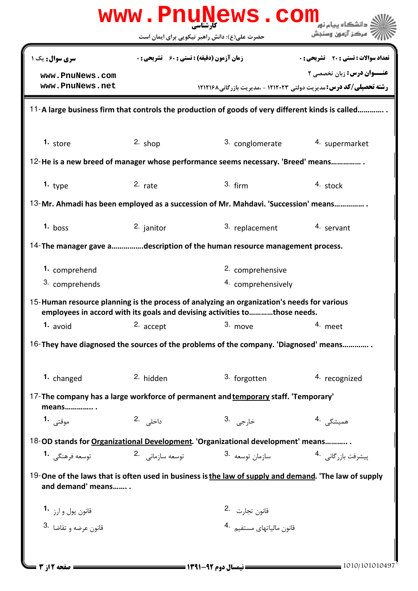|                                    |                                                    | حضرت علی(ع): دانش راهبر نیکویی برای ایمان است                                                                                                                           | مركز آزمون وسنجش                      |
|------------------------------------|----------------------------------------------------|-------------------------------------------------------------------------------------------------------------------------------------------------------------------------|---------------------------------------|
| سری سوال: یک ۱                     | <b>زمان آزمون (دقیقه) : تستی : 60 ٪ تشریحی : 0</b> |                                                                                                                                                                         | تعداد سوالات : تستي : 20 - تشريحي : 0 |
| www.PnuNews.com<br>www.PnuNews.net |                                                    | <b>رشته تحصیلی/کد درس: مدیریت دولتی ۱۲۱۲۰۲۳ - مدیریت بازرگانی۱۲۱۲۱۶۸</b>                                                                                                | <b>عنــوان درس:</b> زبان تخصصی ۲      |
|                                    |                                                    | 11-A large business firm that controls the production of goods of very different kinds is called                                                                        |                                       |
| 1. store                           | $2.$ shop                                          | 3. conglomerate                                                                                                                                                         | 4. supermarket                        |
|                                    |                                                    | 12-He is a new breed of manager whose performance seems necessary. 'Breed' means                                                                                        |                                       |
| 1. $type$                          | $2.$ rate                                          | $3.$ firm                                                                                                                                                               | 4. stock                              |
|                                    |                                                    | 13-Mr. Ahmadi has been employed as a succession of Mr. Mahdavi. 'Succession' means                                                                                      |                                       |
| $1.$ boss                          | 2. janitor                                         | 3. replacement                                                                                                                                                          | 4. servant                            |
|                                    |                                                    | 14-The manager gave adescription of the human resource management process.                                                                                              |                                       |
| 1. comprehend                      |                                                    | 2. comprehensive                                                                                                                                                        |                                       |
| 3. comprehends                     |                                                    | 4. comprehensively                                                                                                                                                      |                                       |
|                                    |                                                    | 15-Human resource planning is the process of analyzing an organization's needs for various<br>employees in accord with its goals and devising activities tothose needs. |                                       |
| 1. avoid                           | 2. accept                                          | 3. move                                                                                                                                                                 | 4. meet                               |
|                                    |                                                    | 16-They have diagnosed the sources of the problems of the company. 'Diagnosed' means                                                                                    |                                       |
| 1. changed                         | 2. hidden                                          | 3. forgotten                                                                                                                                                            | 4. recognized                         |
| means                              |                                                    | 17-The company has a large workforce of permanent and temporary staff. 'Temporary'                                                                                      |                                       |
| موقتى 1.                           | داخلی .2                                           | خا <sub>ر</sub> جى .3                                                                                                                                                   | همیشگ <sub>ی</sub> .4                 |
|                                    |                                                    | 18-OD stands for Organizational Development. 'Organizational development' means                                                                                         |                                       |
| توسعه فرهنگي <b>1</b> ۰            | توسعه سازمانی۔ 2                                   | سازمان توسعه 3.                                                                                                                                                         | پیشرفت بازرگانی 4.                    |
| and demand' means                  |                                                    | 19-One of the laws that is often used in business is the law of supply and demand. 'The law of supply                                                                   |                                       |
| قانون پول و ارز <b>1</b> ۰         |                                                    | قانون تجارت <sup>.2</sup>                                                                                                                                               |                                       |
|                                    |                                                    | قانون مالياتهاى مستفي <sub>م</sub> .4                                                                                                                                   |                                       |